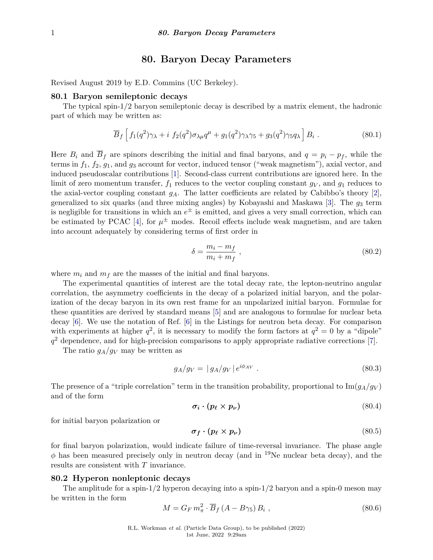## **80. Baryon Decay Parameters**

Revised August 2019 by E.D. Commins (UC Berkeley).

## **80.1 Baryon semileptonic decays**

The typical spin-1/2 baryon semileptonic decay is described by a matrix element, the hadronic part of which may be written as:

$$
\overline{B}_f \left[ f_1(q^2) \gamma_\lambda + i f_2(q^2) \sigma_{\lambda \mu} q^\mu + g_1(q^2) \gamma_\lambda \gamma_5 + g_3(q^2) \gamma_5 q_\lambda \right] B_i \,. \tag{80.1}
$$

Here  $B_i$  and  $B_f$  are spinors describing the initial and final baryons, and  $q = p_i - p_f$ , while the terms in *f*1, *f*2, *g*1, and *g*<sup>3</sup> account for vector, induced tensor ("weak magnetism"), axial vector, and induced pseudoscalar contributions [\[1\]](#page-2-0). Second-class current contributions are ignored here. In the limit of zero momentum transfer,  $f_1$  reduces to the vector coupling constant  $g_V$ , and  $g_1$  reduces to the axial-vector coupling constant  $g_A$ . The latter coefficients are related by Cabibbo's theory [\[2\]](#page-2-1), generalized to six quarks (and three mixing angles) by Kobayashi and Maskawa [\[3\]](#page-2-2). The  $g_3$  term is negligible for transitions in which an  $e^{\pm}$  is emitted, and gives a very small correction, which can be estimated by PCAC [\[4\]](#page-2-3), for  $\mu^{\pm}$  modes. Recoil effects include weak magnetism, and are taken into account adequately by considering terms of first order in

$$
\delta = \frac{m_i - m_f}{m_i + m_f} \,,\tag{80.2}
$$

where  $m_i$  and  $m_f$  are the masses of the initial and final baryons.

The experimental quantities of interest are the total decay rate, the lepton-neutrino angular correlation, the asymmetry coefficients in the decay of a polarized initial baryon, and the polarization of the decay baryon in its own rest frame for an unpolarized initial baryon. Formulae for these quantities are derived by standard means [\[5\]](#page-2-4) and are analogous to formulae for nuclear beta decay [\[6\]](#page-2-5). We use the notation of Ref. [\[6\]](#page-2-5) in the Listings for neutron beta decay. For comparison with experiments at higher  $q^2$ , it is necessary to modify the form factors at  $q^2 = 0$  by a "dipole" *q* <sup>2</sup> dependence, and for high-precision comparisons to apply appropriate radiative corrections [\[7\]](#page-2-6).

The ratio  $g_A/g_V$  may be written as

$$
g_A/g_V = |g_A/g_V|e^{i\phi_{AV}}.
$$
\n(80.3)

The presence of a "triple correlation" term in the transition probability, proportional to  $\text{Im}(g_A/g_V)$ and of the form

$$
\sigma_i \cdot (p_\ell \times p_\nu) \tag{80.4}
$$

for initial baryon polarization or

$$
\sigma_f \cdot (p_\ell \times p_\nu) \tag{80.5}
$$

for final baryon polarization, would indicate failure of time-reversal invariance. The phase angle  $\phi$  has been measured precisely only in neutron decay (and in <sup>19</sup>Ne nuclear beta decay), and the results are consistent with *T* invariance.

## **80.2 Hyperon nonleptonic decays**

The amplitude for a spin- $1/2$  hyperon decaying into a spin- $1/2$  baryon and a spin-0 meson may be written in the form

$$
M = G_F m_\pi^2 \cdot \overline{B}_f \left( A - B \gamma_5 \right) B_i , \qquad (80.6)
$$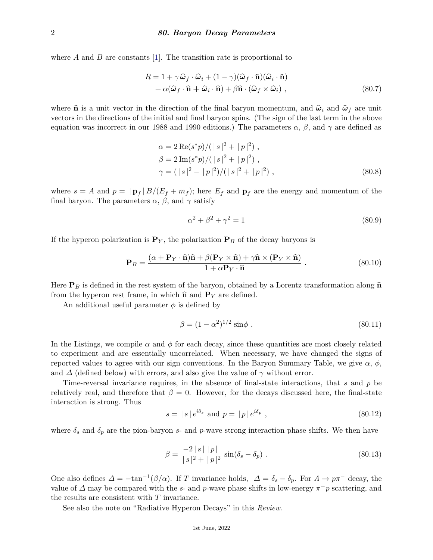where *A* and *B* are constants [\[1\]](#page-2-0). The transition rate is proportional to

$$
R = 1 + \gamma \hat{\omega}_f \cdot \hat{\omega}_i + (1 - \gamma)(\hat{\omega}_f \cdot \hat{\mathbf{n}})(\hat{\omega}_i \cdot \hat{\mathbf{n}}) + \alpha(\hat{\omega}_f \cdot \hat{\mathbf{n}} + \hat{\omega}_i \cdot \hat{\mathbf{n}}) + \beta \hat{\mathbf{n}} \cdot (\hat{\omega}_f \times \hat{\omega}_i) ,
$$
 (80.7)

where  $\hat{\mathbf{n}}$  is a unit vector in the direction of the final baryon momentum, and  $\hat{\omega}_i$  and  $\hat{\omega}_f$  are unit vectors in the directions of the initial and final baryon spins. (The sign of the last term in the above equation was incorrect in our 1988 and 1990 editions.) The parameters *α*, *β*, and *γ* are defined as

$$
\alpha = 2 \operatorname{Re}(s^*p) / (|s|^2 + |p|^2) ,
$$
  
\n
$$
\beta = 2 \operatorname{Im}(s^*p) / (|s|^2 + |p|^2) ,
$$
  
\n
$$
\gamma = (|s|^2 - |p|^2) / (|s|^2 + |p|^2) ,
$$
\n(80.8)

where  $s = A$  and  $p = | \mathbf{p}_f | B/(E_f + m_f)$ ; here  $E_f$  and  $\mathbf{p}_f$  are the energy and momentum of the final baryon. The parameters  $\alpha$ ,  $\beta$ , and  $\gamma$  satisfy

$$
\alpha^2 + \beta^2 + \gamma^2 = 1\tag{80.9}
$$

If the hyperon polarization is  $\mathbf{P}_Y$ , the polarization  $\mathbf{P}_B$  of the decay baryons is

$$
\mathbf{P}_B = \frac{(\alpha + \mathbf{P}_Y \cdot \hat{\mathbf{n}})\hat{\mathbf{n}} + \beta(\mathbf{P}_Y \times \hat{\mathbf{n}}) + \gamma \hat{\mathbf{n}} \times (\mathbf{P}_Y \times \hat{\mathbf{n}})}{1 + \alpha \mathbf{P}_Y \cdot \hat{\mathbf{n}}}. \tag{80.10}
$$

Here  $P_B$  is defined in the rest system of the baryon, obtained by a Lorentz transformation along  $\hat{n}$ from the hyperon rest frame, in which  $\hat{\mathbf{n}}$  and  $\mathbf{P}_Y$  are defined.

An additional useful parameter  $\phi$  is defined by

$$
\beta = (1 - \alpha^2)^{1/2} \sin \phi \ . \tag{80.11}
$$

In the Listings, we compile  $\alpha$  and  $\phi$  for each decay, since these quantities are most closely related to experiment and are essentially uncorrelated. When necessary, we have changed the signs of reported values to agree with our sign conventions. In the Baryon Summary Table, we give  $\alpha$ ,  $\phi$ , and  $\Delta$  (defined below) with errors, and also give the value of  $\gamma$  without error.

Time-reversal invariance requires, in the absence of final-state interactions, that *s* and *p* be relatively real, and therefore that  $\beta = 0$ . However, for the decays discussed here, the final-state interaction is strong. Thus

$$
s = |s|e^{i\delta_s} \text{ and } p = |p|e^{i\delta_p}, \qquad (80.12)
$$

where  $\delta_s$  and  $\delta_p$  are the pion-baryon *s*- and *p*-wave strong interaction phase shifts. We then have

$$
\beta = \frac{-2|s||p|}{|s|^2 + |p|^2} \sin(\delta_s - \delta_p) . \tag{80.13}
$$

One also defines  $\Delta = -\tan^{-1}(\beta/\alpha)$ . If *T* invariance holds,  $\Delta = \delta_s - \delta_p$ . For  $\Lambda \to p\pi^-$  decay, the value of  $\Delta$  may be compared with the *s*- and *p*-wave phase shifts in low-energy  $\pi^- p$  scattering, and the results are consistent with *T* invariance.

See also the note on "Radiative Hyperon Decays" in this *Review*.